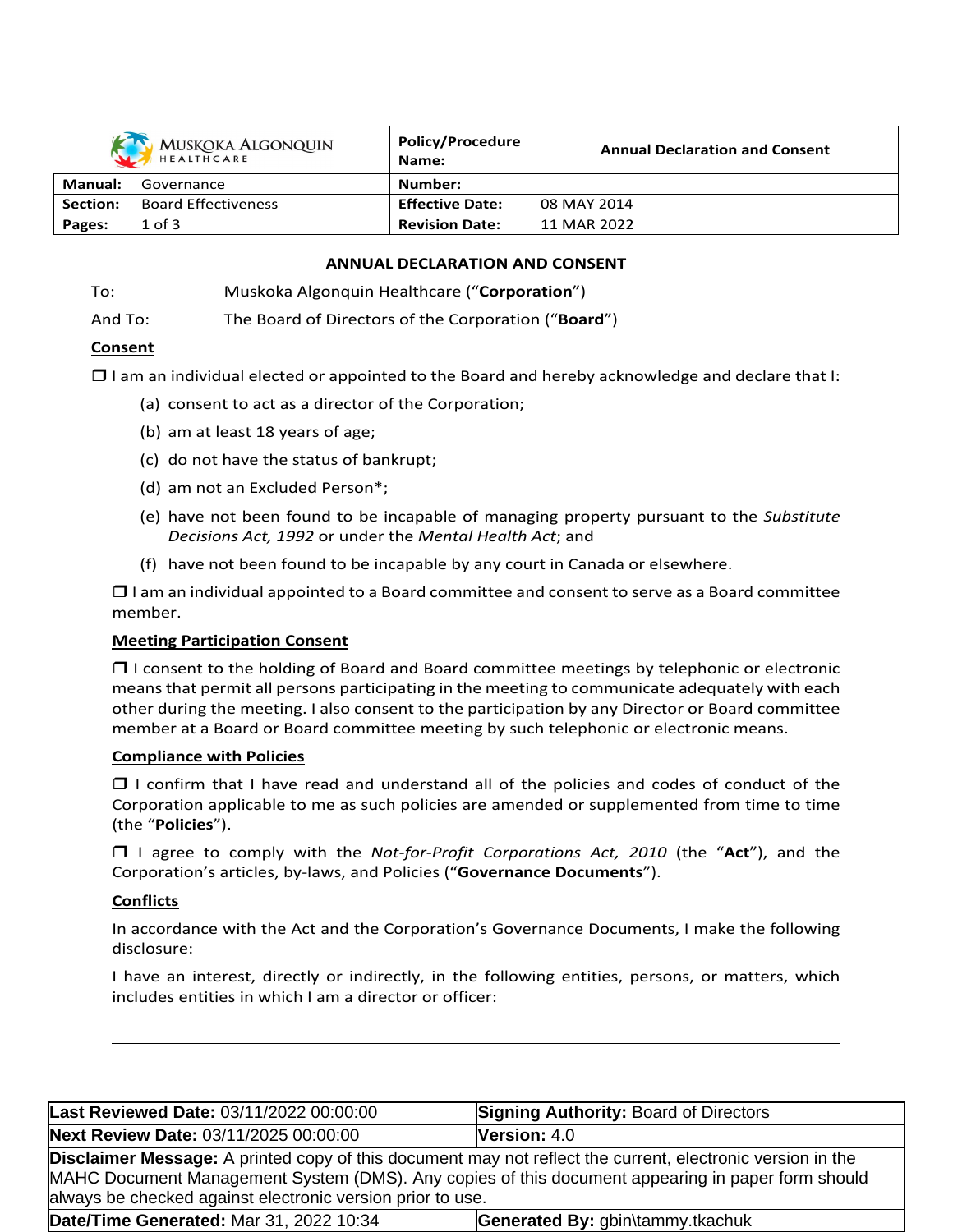

| HEALTHCARE |                            | Name:                  | ANNUA DUURIULIUN UNU CONSCHI |
|------------|----------------------------|------------------------|------------------------------|
| Manual:    | Governance                 | Number:                |                              |
| Section:   | <b>Board Effectiveness</b> | <b>Effective Date:</b> | 08 MAY 2014                  |
| Pages:     | $1$ of $3$                 | <b>Revision Date:</b>  | 11 MAR 2022                  |

**Annual Declaration and Consent**

**Policy/Procedure**

#### **ANNUAL DECLARATION AND CONSENT**

To: Muskoka Algonquin Healthcare ("**Corporation**")

And To: The Board of Directors of the Corporation ("**Board**")

# **Consent**

 $\Box$  I am an individual elected or appointed to the Board and hereby acknowledge and declare that I:

- (a) consent to act as a director of the Corporation;
- (b) am at least 18 years of age;
- (c) do not have the status of bankrupt;
- (d) am not an Excluded Person\*;
- (e) have not been found to be incapable of managing property pursuant to the *Substitute Decisions Act, 1992* or under the *Mental Health Act*; and
- (f) have not been found to be incapable by any court in Canada or elsewhere.

 $\Box$  I am an individual appointed to a Board committee and consent to serve as a Board committee member.

# **Meeting Participation Consent**

 $\Box$  I consent to the holding of Board and Board committee meetings by telephonic or electronic meansthat permit all persons participating in the meeting to communicate adequately with each other during the meeting. I also consent to the participation by any Director or Board committee member at a Board or Board committee meeting by such telephonic or electronic means.

# **Compliance with Policies**

 $\Box$  I confirm that I have read and understand all of the policies and codes of conduct of the Corporation applicable to me as such policies are amended or supplemented from time to time (the "**Policies**").

 I agree to comply with the *Not-for-Profit Corporations Act, 2010* (the "**Act**"), and the Corporation's articles, by-laws, and Policies ("**Governance Documents**").

# **Conflicts**

In accordance with the Act and the Corporation's Governance Documents, I make the following disclosure:

I have an interest, directly or indirectly, in the following entities, persons, or matters, which includes entities in which I am a director or officer:

| Last Reviewed Date: 03/11/2022 00:00:00                                                                                                                                                                                                                                              | <b>Signing Authority: Board of Directors</b> |  |
|--------------------------------------------------------------------------------------------------------------------------------------------------------------------------------------------------------------------------------------------------------------------------------------|----------------------------------------------|--|
| Next Review Date: 03/11/2025 00:00:00                                                                                                                                                                                                                                                | Version: 4.0                                 |  |
| <b>Disclaimer Message:</b> A printed copy of this document may not reflect the current, electronic version in the<br>MAHC Document Management System (DMS). Any copies of this document appearing in paper form should<br>always be checked against electronic version prior to use. |                                              |  |
| Date/Time Generated: Mar 31, 2022 10:34                                                                                                                                                                                                                                              | Generated By: gbin\tammy.tkachuk             |  |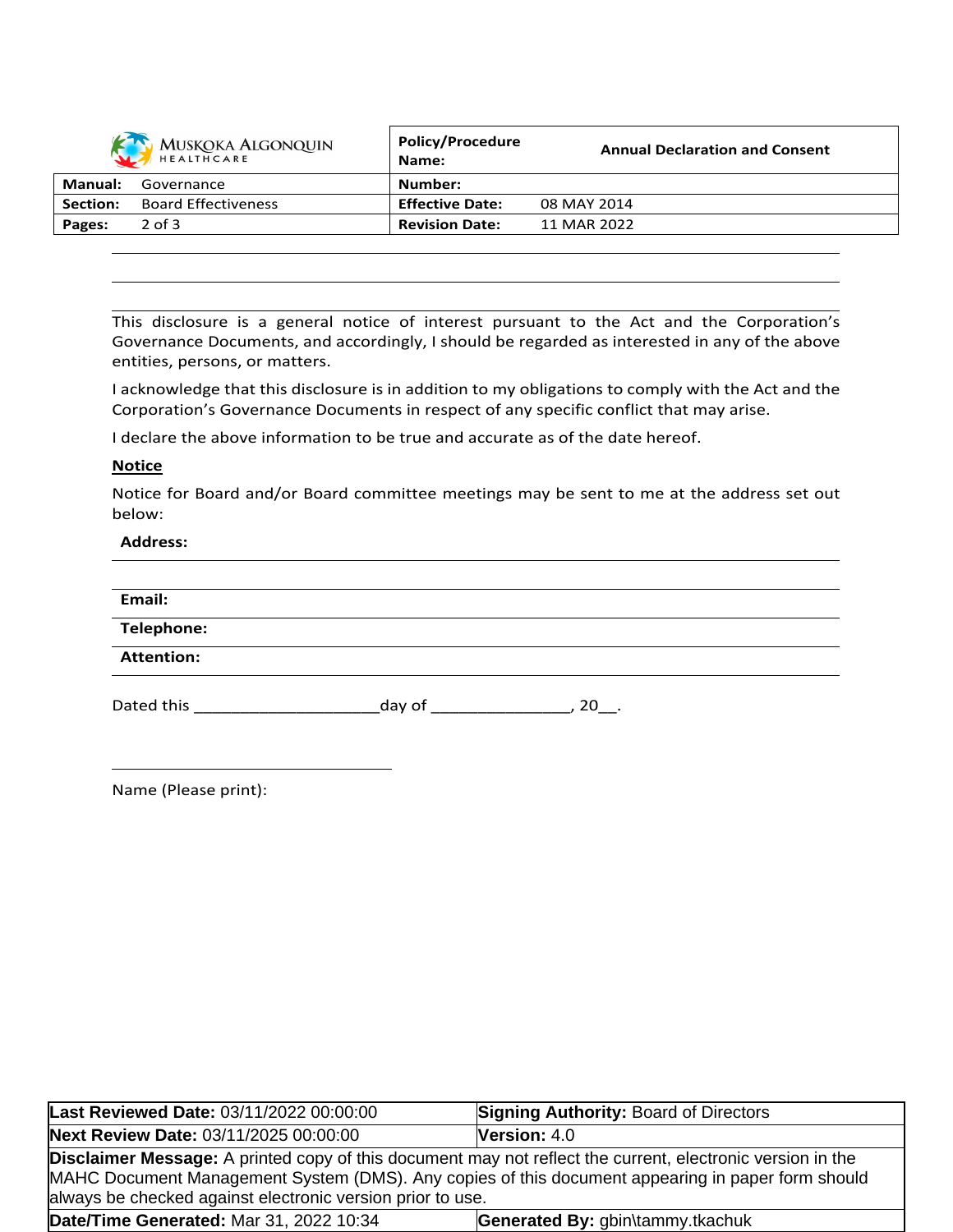| MUSKOKA ALGONQUIN |                            | <b>Policy/Procedure</b><br>Name: | <b>Annual Declaration and Consent</b> |
|-------------------|----------------------------|----------------------------------|---------------------------------------|
| Manual:           | Governance                 | Number:                          |                                       |
| Section:          | <b>Board Effectiveness</b> | <b>Effective Date:</b>           | 08 MAY 2014                           |
| Pages:            | $2$ of $3$                 | <b>Revision Date:</b>            | 11 MAR 2022                           |

This disclosure is a general notice of interest pursuant to the Act and the Corporation's Governance Documents, and accordingly, I should be regarded as interested in any of the above entities, persons, or matters.

I acknowledge that this disclosure is in addition to my obligations to comply with the Act and the Corporation's Governance Documents in respect of any specific conflict that may arise.

I declare the above information to be true and accurate as of the date hereof.

#### **Notice**

Notice for Board and/or Board committee meetings may be sent to me at the address set out below:

#### **Address:**

| Email:            |        |        |
|-------------------|--------|--------|
| <b>Telephone:</b> |        |        |
| <b>Attention:</b> |        |        |
| Dated this        | day of | $20$ . |

|  | Name (Please print): |  |  |
|--|----------------------|--|--|
|--|----------------------|--|--|

| Last Reviewed Date: 03/11/2022 00:00:00                                                                                                                                                                                                                                              | <b>Signing Authority: Board of Directors</b> |  |
|--------------------------------------------------------------------------------------------------------------------------------------------------------------------------------------------------------------------------------------------------------------------------------------|----------------------------------------------|--|
| Next Review Date: 03/11/2025 00:00:00                                                                                                                                                                                                                                                | <b>Version:</b> $4.0$                        |  |
| <b>Disclaimer Message:</b> A printed copy of this document may not reflect the current, electronic version in the<br>MAHC Document Management System (DMS). Any copies of this document appearing in paper form should<br>always be checked against electronic version prior to use. |                                              |  |
| Date/Time Generated: Mar 31, 2022 10:34                                                                                                                                                                                                                                              | Generated By: gbin\tammy.tkachuk             |  |